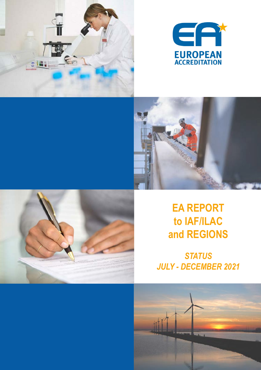







# **EA REPORT to IAF/ILAC and REGIONS**

*STATUS JULY - DECEMBER 2021*

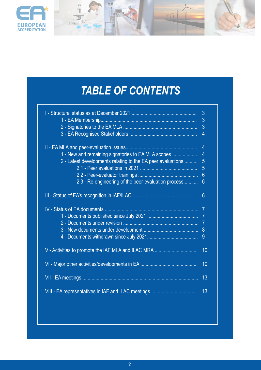

# *TABLE OF CONTENTS*

|                                                                                                                                                                          | 3<br>3<br>3<br>$\overline{4}$                                     |
|--------------------------------------------------------------------------------------------------------------------------------------------------------------------------|-------------------------------------------------------------------|
| 1 - New and remaining signatories to EA MLA scopes<br>2 - Latest developments relating to the EA peer evaluations<br>2.3 - Re-engineering of the peer-evaluation process | $\overline{4}$<br>$\overline{4}$<br>5<br>5<br>6<br>$6\phantom{a}$ |
| <b>IV</b> - Status of EA documents                                                                                                                                       | 6<br>$\overline{7}$<br>$\overline{7}$<br>7<br>8<br>$\overline{9}$ |
| V - Activities to promote the IAF MLA and ILAC MRA                                                                                                                       | 10                                                                |
|                                                                                                                                                                          | 10                                                                |
|                                                                                                                                                                          | 13                                                                |
|                                                                                                                                                                          | 13                                                                |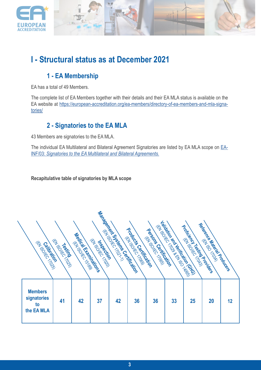

## **I - Structural status as at December 2021**

### **1 - EA Membership**

EA has a total of 49 Members.

The complete list of EA Members together with their details and their EA MLA status is available on the EA website at [https://european-accreditation.org/ea-members/directory-of-ea-members-and-mla-signa](https://european-accreditation.org/ea-members/directory-of-ea-members-and-mla-signatories/)[tories/](https://european-accreditation.org/ea-members/directory-of-ea-members-and-mla-signatories/)

### **2 - Signatories to the EA MLA**

43 Members are signatories to the EA MLA.

The individual EA Multilateral and Bilateral Agreement Signatories are listed by EA MLA scope on [EA-](https://european-accreditation.org/wp-content/uploads/2018/10/ea-inf-03.pdf)INF/03: *[Signatories to the EA Multilateral and Bilateral Agreements.](https://european-accreditation.org/wp-content/uploads/2018/10/ea-inf-03.pdf)*

**Recapitulative table of signatories by MLA scope**

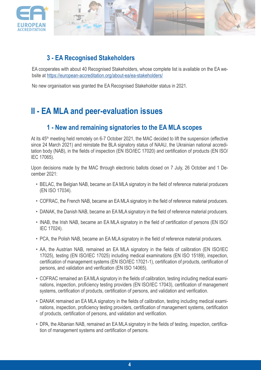

### **3 - EA Recognised Stakeholders**

EA cooperates with about 40 Recognised Stakeholders, whose complete list is available on the EA website at<https://european-accreditation.org/about-ea/ea-stakeholders/>

No new organisation was granted the EA Recognised Stakeholder status in 2021.

## **II - EA MLA and peer-evaluation issues**

### **1 - New and remaining signatories to the EA MLA scopes**

At its 45<sup>th</sup> meeting held remotely on 6-7 October 2021, the MAC decided to lift the suspension (effective since 24 March 2021) and reinstate the BLA signatory status of NAAU, the Ukrainian national accreditation body (NAB), in the fields of inspection (EN ISO/IEC 17020) and certification of products (EN ISO/ IEC 17065).

Upon decisions made by the MAC through electronic ballots closed on 7 July, 26 October and 1 December 2021:

- BELAC, the Belgian NAB, became an EA MLA signatory in the field of reference material producers (EN ISO 17034).
- COFRAC, the French NAB, became an EA MLA signatory in the field of reference material producers.
- DANAK, the Danish NAB, became an EA MLA signatory in the field of reference material producers.
- INAB, the Irish NAB, became an EA MLA signatory in the field of certification of persons (EN ISO/ IEC 17024).
- PCA, the Polish NAB, became an EA MLA signatory in the field of reference material producers.
- AA, the Austrian NAB, remained an EA MLA signatory in the fields of calibration (EN ISO/IEC 17025), testing (EN ISO/IEC 17025) including medical examinations (EN ISO 15189), inspection, certification of management systems (EN ISO/IEC 17021-1), certification of products, certification of persons, and validation and verification (EN ISO 14065).
- COFRAC remained an EA MLA signatory in the fields of calibration, testing including medical examinations, inspection, proficiency testing providers (EN ISO/IEC 17043), certification of management systems, certification of products, certification of persons, and validation and verification.
- DANAK remained an EA MLA signatory in the fields of calibration, testing including medical examinations, inspection, proficiency testing providers, certification of management systems, certification of products, certification of persons, and validation and verification.
- DPA, the Albanian NAB, remained an EA MLA signatory in the fields of testing, inspection, certification of management systems and certification of persons.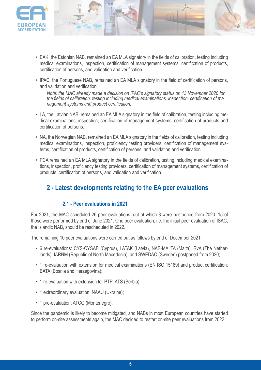

- EAK, the Estonian NAB, remained an EA MLA signatory in the fields of calibration, testing including medical examinations, inspection, certification of management systems, certification of products, certification of persons, and validation and verification.
- IPAC, the Portuguese NAB, remained an EA MLA signatory in the field of certification of persons, and validation and verification.

*Note: the MAC already made a decision on IPAC's signatory status on 13 November 2020 for the fields of calibration, testing including medical examinations, inspection, certification of ma nagement systems and product certification.*

- LA, the Latvian NAB, remained an EA MLA signatory in the field of calibration, testing including medical examinations, inspection, certification of management systems, certification of products and certification of persons.
- NA, the Norwegian NAB, remained an EA MLA signatory in the fields of calibration, testing including medical examinations, inspection, proficiency testing providers, certification of management systems, certification of products, certification of persons, and validation and verification.
- PCA remained an EA MLA signatory in the fields of calibration, testing including medical examinations, inspection, proficiency testing providers, certification of management systems, certification of products, certification of persons, and validation and verification.

### **2 - Latest developments relating to the EA peer evaluations**

### **2.1 - Peer evaluations in 2021**

For 2021, the MAC scheduled 26 peer evaluations, out of which 8 were postponed from 2020. 15 of those were performed by end of June 2021. One peer evaluation, i.e. the initial peer evaluation of ISAC, the Islandic NAB, should be rescheduled in 2022.

The remaining 10 peer evaluations were carried out as follows by end of December 2021:

- 6 re-evaluations: CYS-CYSAB (Cyprus), LATAK (Latvia), NAB-MALTA (Malta), RvA (The Netherlands), IARNM (Republic of North Macedonia), and SWEDAC (Sweden) postponed from 2020;
- 1 re-evaluation with extension for medical examinations (EN ISO 15189) and product certification: BATA (Bosnia and Herzegovina);
- 1 re-evaluation with extension for PTP: ATS (Serbia);
- 1 extraordinary evaluation: NAAU (Ukraine);
- 1 pre-evaluation: ATCG (Montenegro).

Since the pandemic is likely to become mitigated, and NABs in most European countries have started to perform on-site assessments again, the MAC decided to restart on-site peer evaluations from 2022.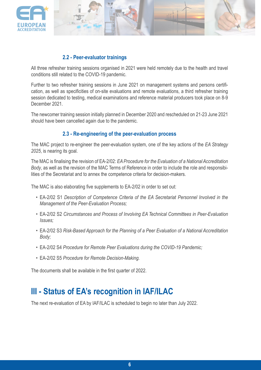

### **2.2 - Peer-evaluator trainings**

All three refresher training sessions organised in 2021 were held remotely due to the health and travel conditions still related to the COVID-19 pandemic.

Further to two refresher training sessions in June 2021 on management systems and persons certification, as well as specificities of on-site evaluations and remote evaluations, a third refresher training session dedicated to testing, medical examinations and reference material producers took place on 8-9 December 2021.

The newcomer training session initially planned in December 2020 and rescheduled on 21-23 June 2021 should have been cancelled again due to the pandemic.

### **2.3 - Re-engineering of the peer-evaluation process**

The MAC project to re-engineer the peer-evaluation system, one of the key actions of the *EA Strategy 2025*, is nearing its goal.

The MAC is finalising the revision of EA-2/02: *EA Procedure for the Evaluation of a National Accreditation Body*, as well as the revision of the MAC Terms of Reference in order to include the role and responsibilities of the Secretariat and to annex the competence criteria for decision-makers.

The MAC is also elaborating five supplements to EA-2/02 in order to set out:

- EA-2/02 S1 *Description of Competence Criteria of the EA Secretariat Personnel Involved in the Management of the Peer-Evaluation Process;*
- EA-2/02 S2 *Circumstances and Process of Involving EA Technical Committees in Peer-Evaluation Issues;*
- EA-2/02 S3 *Risk-Based Approach for the Planning of a Peer Evaluation of a National Accreditation Body;*
- EA-2/02 S4 *Procedure for Remote Peer Evaluations during the COVID-19 Pandemic;*
- EA-2/02 S5 *Procedure for Remote Decision-Making.*

The documents shall be available in the first quarter of 2022.

## **III - Status of EA's recognition in IAF/ILAC**

The next re-evaluation of EA by IAF/ILAC is scheduled to begin no later than July 2022.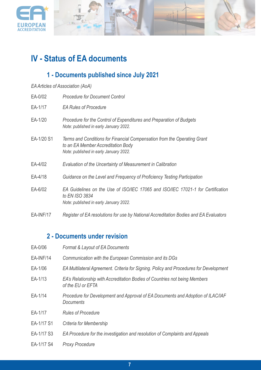



## **IV - Status of EA documents**

## **1 - Documents published since July 2021**

| EA Articles of Association (AoA) |  |
|----------------------------------|--|
|----------------------------------|--|

| EA-0/02    | <b>Procedure for Document Control</b>                                                                                                                    |
|------------|----------------------------------------------------------------------------------------------------------------------------------------------------------|
| EA-1/17    | <b>EA Rules of Procedure</b>                                                                                                                             |
| EA-1/20    | Procedure for the Control of Expenditures and Preparation of Budgets<br>Note: published in early January 2022.                                           |
| EA-1/20 S1 | Terms and Conditions for Financial Compensation from the Operating Grant<br>to an EA Member Accreditation Body<br>Note: published in early January 2022. |
| EA-4/02    | Evaluation of the Uncertainty of Measurement in Calibration                                                                                              |
| EA-4/18    | Guidance on the Level and Frequency of Proficiency Testing Participation                                                                                 |
| EA-6/02    | EA Guidelines on the Use of ISO/IEC 17065 and ISO/IEC 17021-1 for Certification<br>to EN ISO 3834<br>Note: published in early January 2022.              |
| EA-INF/17  | Register of EA resolutions for use by National Accreditation Bodies and EA Evaluators                                                                    |

### **2 - Documents under revision**

| EA-0/06    | Format & Layout of EA Documents                                                                     |
|------------|-----------------------------------------------------------------------------------------------------|
| EA-INF/14  | Communication with the European Commission and its DGs                                              |
| EA-1/06    | EA Multilateral Agreement. Criteria for Signing. Policy and Procedures for Development              |
| EA-1/13    | EA's Relationship with Accreditation Bodies of Countries not being Members<br>of the EU or EFTA     |
| EA-1/14    | Procedure for Development and Approval of EA Documents and Adoption of ILAC/IAF<br><b>Documents</b> |
| EA-1/17    | <b>Rules of Procedure</b>                                                                           |
| EA-1/17 S1 | Criteria for Membership                                                                             |
| EA-1/17 S3 | EA Procedure for the investigation and resolution of Complaints and Appeals                         |
| EA-1/17 S4 | <b>Proxy Procedure</b>                                                                              |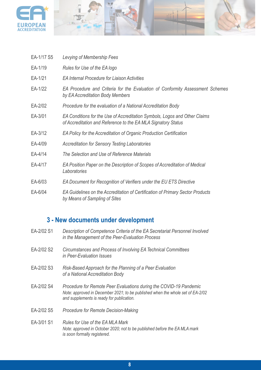

| EA-1/17 S5 | Levying of Membership Fees                                                                                                                  |
|------------|---------------------------------------------------------------------------------------------------------------------------------------------|
| EA-1/19    | Rules for Use of the EA logo                                                                                                                |
| EA-1/21    | <b>EA Internal Procedure for Liaison Activities</b>                                                                                         |
| EA-1/22    | EA Procedure and Criteria for the Evaluation of Conformity Assessment Schemes<br>by EA Accreditation Body Members                           |
| EA-2/02    | Procedure for the evaluation of a National Accreditation Body                                                                               |
| EA-3/01    | EA Conditions for the Use of Accreditation Symbols, Logos and Other Claims<br>of Accreditation and Reference to the EA MLA Signatory Status |
| EA-3/12    | EA Policy for the Accreditation of Organic Production Certification                                                                         |
| EA-4/09    | <b>Accreditation for Sensory Testing Laboratories</b>                                                                                       |
| EA-4/14    | The Selection and Use of Reference Materials                                                                                                |
| EA-4/17    | EA Position Paper on the Description of Scopes of Accreditation of Medical<br>Laboratories                                                  |
| EA-6/03    | EA Document for Recognition of Verifiers under the EU ETS Directive                                                                         |
| EA-6/04    | EA Guidelines on the Accreditation of Certification of Primary Sector Products<br>by Means of Sampling of Sites                             |

## **3 - New documents under development**

| EA-2/02 S1 | Description of Competence Criteria of the EA Secretariat Personnel Involved<br>in the Management of the Peer-Evaluation Process                                                                   |
|------------|---------------------------------------------------------------------------------------------------------------------------------------------------------------------------------------------------|
| EA-2/02 S2 | Circumstances and Process of Involving EA Technical Committees<br>in Peer-Evaluation Issues                                                                                                       |
| EA-2/02 S3 | Risk-Based Approach for the Planning of a Peer Evaluation<br>of a National Accreditation Body                                                                                                     |
| EA-2/02 S4 | Procedure for Remote Peer Evaluations during the COVID-19 Pandemic<br>Note: approved in December 2021; to be published when the whole set of EA-2/02<br>and supplements is ready for publication. |
| EA-2/02 S5 | Procedure for Remote Decision-Making                                                                                                                                                              |
| EA-3/01 S1 | Rules for Use of the EA MLA Mark<br>Note: approved in October 2020; not to be published before the EA MLA mark<br>is soon formally registered.                                                    |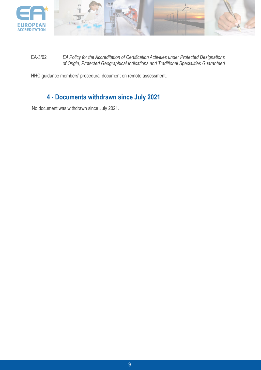

EA-3/02 *EA Policy for the Accreditation of Certification Activities under Protected Designations of Origin, Protected Geographical Indications and Traditional Specialities Guaranteed* 

HHC guidance members' procedural document on remote assessment.

### **4 - Documents withdrawn since July 2021**

No document was withdrawn since July 2021.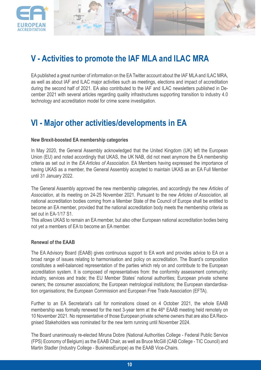



EA published a great number of information on the EA Twitter account about the IAF MLA and ILAC MRA, as well as about IAF and ILAC major activities such as meetings, elections and impact of accreditation during the second half of 2021. EA also contributed to the IAF and ILAC newsletters published in December 2021 with several articles regarding quality infrastructures supporting transition to industry 4.0 technology and accreditation model for crime scene investigation.

### **VI - Major other activities/developments in EA**

#### **New Brexit-boosted EA membership categories**

In May 2020, the General Assembly acknowledged that the United Kingdom (UK) left the European Union (EU) and noted accordingly that UKAS, the UK NAB, did not meet anymore the EA membership criteria as set out in the *EA Articles of Association*. EA Members having expressed the importance of having UKAS as a member, the General Assembly accepted to maintain UKAS as an EA Full Member until 31 January 2022.

The General Assembly approved the new membership categories, and accordingly the new *Articles of Association*, at its meeting on 24-25 November 2021. Pursuant to the new *Articles of Association*, all national accreditation bodies coming from a Member State of the Council of Europe shall be entitled to become an EA member, provided that the national accreditation body meets the membership criteria as set out in EA-1/17 S1.

This allows UKAS to remain an EA member, but also other European national accreditation bodies being not yet a members of EA to become an EA member.

#### **Renewal of the EAAB**

The EA Advisory Board (EAAB) gives continuous support to EA work and provides advice to EA on a broad range of issues relating to harmonisation and policy on accreditation. The Board's composition constitutes a well-balanced representation of the parties which rely on and contribute to the European accreditation system. It is composed of representatives from: the conformity assessment community; industry, services and trade; the EU Member States' national authorities; European private scheme owners; the consumer associations; the European metrological institutions; the European standardisation organisations; the European Commission and European Free Trade Association (EFTA).

Further to an EA Secretariat's call for nominations closed on 4 October 2021, the whole EAAB membership was formally renewed for the next 3-year term at the 46<sup>th</sup> EAAB meeting held remotely on 10 November 2021. No representative of those European private scheme owners that are also EA Recognised Stakeholders was nominated for the new term running until November 2024.

The Board unanimously re-elected Miruna Dobre (National Authorities College - Federal Public Service (FPS) Economy of Belgium) as the EAAB Chair, as well as Bruce McGill (CAB College - TIC Council) and Martin Stadler (Industry College - BusinessEurope) as the EAAB Vice-Chairs.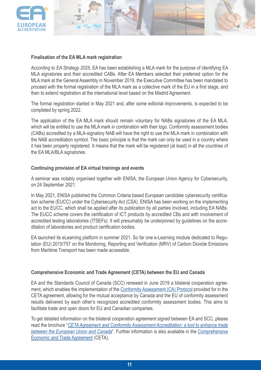

#### **Finalisation of the EA MLA mark registration**

According to *EA Strategy 2025*, EA has been establishing a MLA mark for the purpose of identifying EA MLA signatories and their accredited CABs. After EA Members selected their preferred option for the MLA mark at the General Assembly in November 2019, the Executive Committee has been mandated to proceed with the formal registration of the MLA mark as a collective mark of the EU in a first stage, and then to extend registration at the international level based on the Madrid Agreement.

The formal registration started in May 2021 and, after some editorial improvements, is expected to be completed by spring 2022.

The application of the EA MLA mark should remain voluntary for NABs signatories of the EA MLA, which will be entitled to use the MLA mark in combination with their logo. Conformity assessment bodies (CABs) accredited by a MLA-signatory NAB will have the right to use the MLA mark in combination with the NAB accreditation symbol. The basic principle is that the mark can only be used in a country where it has been properly registered. It means that the mark will be registered (at least) in all the countries of the EA MLA/BLA signatories.

#### **Continuing provision of EA virtual trainings and events**

A seminar was notably organised together with ENISA, the European Union Agency for Cybersecurity, on 24 September 2021.

In May 2021, ENISA published the Common Criteria based European candidate cybersecurity certification scheme (EUCC) under the Cybersecurity Act (CSA). ENISA has been working on the implementing act to the EUCC, which shall be applied after its publication by all parties involved, including EA NABs. The EUCC scheme covers the certification of ICT products by accredited CBs and with involvement of accredited testing laboratories (ITSEFs). It will presumably be underpinned by guidelines on the accreditation of laboratories and product certification bodies.

EA launched its eLearning platform in summer 2021. So far one e-Learning module dedicated to Regulation (EU) 2015/757 on the Monitoring, Reporting and Verification (MRV) of Carbon Dioxide Emissions from Maritime Transport has been made accessible.

#### **Comprehensive Economic and Trade Agreement (CETA) between the EU and Canada**

EA and the Standards Council of Canada (SCC) renewed in June 2019 a bilateral cooperation agree-ment, which enables the implementation of the [Conformity Assessment \(CA\) Protocol](https://ec.europa.eu/growth/tools-databases/nando/index.cfm?fuseaction=ceta.main) provided for in the CETA agreement, allowing for the mutual acceptance by Canada and the EU of conformity assessment results delivered by each other's recognized accredited conformity assessment bodies. This aims to facilitate trade and open doors for EU and Canadian companies.

To get detailed information on the bilateral cooperation agreement signed between EA and SCC, please read the brochure "*[CETA Agreement and Conformity Assessment Accreditation: a tool to enhance trade](https://european-accreditation.org/wp-content/uploads/2018/10/ceta-agreementand-conformity-assessment-accreditation-a-tool-to-enhance-tradebetween-the-european-union-and-canada.pdf) between the [European](https://european-accreditation.org/wp-content/uploads/2018/10/ceta-agreementand-conformity-assessment-accreditation-a-tool-to-enhance-tradebetween-the-european-union-and-canada.pdf) Union and Canada*". Further information is also available in the [Comprehensive](https://ec.europa.eu/trade/policy/in-focus/ceta/index_en.htm) [Economic and Trade Agreement](https://ec.europa.eu/trade/policy/in-focus/ceta/index_en.htm) (CETA).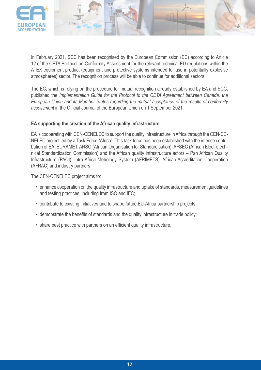

In February 2021, SCC has been recognised by the European Commission (EC) according to Article 12 of the CETA Protocol on Conformity Assessment for the relevant technical EU regulations within the ATEX equipment product (equipment and protective systems intended for use in potentially explosive atmospheres) sector. The recognition process will be able to continue for additional sectors.

The EC, which is relying on the procedure for mutual recognition already established by EA and SCC, published the *Implementation Guide for the Protocol to the CETA Agreement between Canada, the European Union and its Member States regarding the mutual acceptance of the results of conformity assessment* in the Official Journal of the European Union on 1 September 2021.

#### **EA supporting the creation of the African quality infrastructure**

EA is cooperating with CEN-CENELEC to support the quality infrastructure in Africa through the CEN-CE-NELEC project led by a Task Force "Africa". This task force has been established with the intense contribution of EA, EURAMET, ARSO (African Organisation for Standardisation), AFSEC (African Electrotechnical Standardization Commission) and the African quality infrastructure actors – Pan African Quality Infrastructure (PAQI), Intra Africa Metrology System (AFRIMETS), African Accreditation Cooperation (AFRAC) and industry partners.

The CEN-CENELEC project aims to:

- enhance cooperation on the quality infrastructure and uptake of standards, measurement guidelines and testing practices, including from ISO and IEC;
- contribute to existing initiatives and to shape future EU-Africa partnership projects;
- demonstrate the benefits of standards and the quality infrastructure in trade policy;
- share best practice with partners on an efficient quality infrastructure.